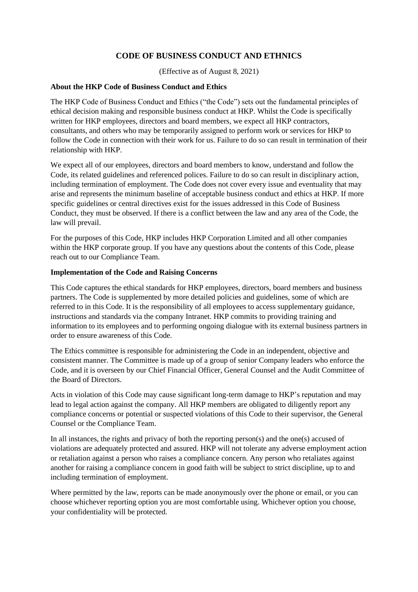# **CODE OF BUSINESS CONDUCT AND ETHNICS**

(Effective as of August 8, 2021)

## **About the HKP Code of Business Conduct and Ethics**

The HKP Code of Business Conduct and Ethics ("the Code") sets out the fundamental principles of ethical decision making and responsible business conduct at HKP. Whilst the Code is specifically written for HKP employees, directors and board members, we expect all HKP contractors, consultants, and others who may be temporarily assigned to perform work or services for HKP to follow the Code in connection with their work for us. Failure to do so can result in termination of their relationship with HKP.

We expect all of our employees, directors and board members to know, understand and follow the Code, its related guidelines and referenced polices. Failure to do so can result in disciplinary action, including termination of employment. The Code does not cover every issue and eventuality that may arise and represents the minimum baseline of acceptable business conduct and ethics at HKP. If more specific guidelines or central directives exist for the issues addressed in this Code of Business Conduct, they must be observed. If there is a conflict between the law and any area of the Code, the law will prevail.

For the purposes of this Code, HKP includes HKP Corporation Limited and all other companies within the HKP corporate group. If you have any questions about the contents of this Code, please reach out to our Compliance Team.

## **Implementation of the Code and Raising Concerns**

This Code captures the ethical standards for HKP employees, directors, board members and business partners. The Code is supplemented by more detailed policies and guidelines, some of which are referred to in this Code. It is the responsibility of all employees to access supplementary guidance, instructions and standards via the company Intranet. HKP commits to providing training and information to its employees and to performing ongoing dialogue with its external business partners in order to ensure awareness of this Code.

The Ethics committee is responsible for administering the Code in an independent, objective and consistent manner. The Committee is made up of a group of senior Company leaders who enforce the Code, and it is overseen by our Chief Financial Officer, General Counsel and the Audit Committee of the Board of Directors.

Acts in violation of this Code may cause significant long-term damage to HKP's reputation and may lead to legal action against the company. All HKP members are obligated to diligently report any compliance concerns or potential or suspected violations of this Code to their supervisor, the General Counsel or the Compliance Team.

In all instances, the rights and privacy of both the reporting person(s) and the one(s) accused of violations are adequately protected and assured. HKP will not tolerate any adverse employment action or retaliation against a person who raises a compliance concern. Any person who retaliates against another for raising a compliance concern in good faith will be subject to strict discipline, up to and including termination of employment.

Where permitted by the law, reports can be made anonymously over the phone or email, or you can choose whichever reporting option you are most comfortable using. Whichever option you choose, your confidentiality will be protected.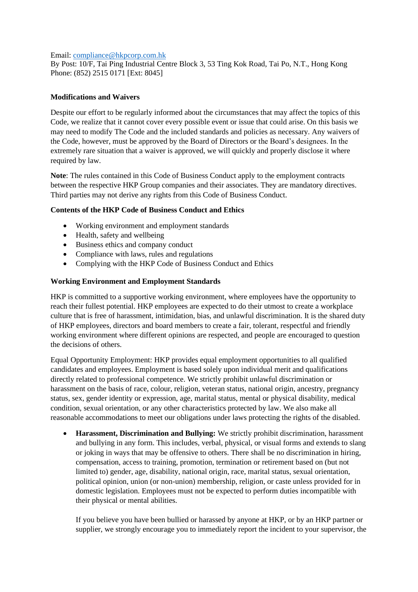#### Email: [compliance@hkpcorp.com.hk](mailto:compliance@hkpcorp.com.hk)

By Post: 10/F, Tai Ping Industrial Centre Block 3, 53 Ting Kok Road, Tai Po, N.T., Hong Kong Phone: (852) 2515 0171 [Ext: 8045]

## **Modifications and Waivers**

Despite our effort to be regularly informed about the circumstances that may affect the topics of this Code, we realize that it cannot cover every possible event or issue that could arise. On this basis we may need to modify The Code and the included standards and policies as necessary. Any waivers of the Code, however, must be approved by the Board of Directors or the Board's designees. In the extremely rare situation that a waiver is approved, we will quickly and properly disclose it where required by law.

**Note**: The rules contained in this Code of Business Conduct apply to the employment contracts between the respective HKP Group companies and their associates. They are mandatory directives. Third parties may not derive any rights from this Code of Business Conduct.

## **Contents of the HKP Code of Business Conduct and Ethics**

- Working environment and employment standards
- Health, safety and wellbeing
- Business ethics and company conduct
- Compliance with laws, rules and regulations
- Complying with the HKP Code of Business Conduct and Ethics

#### **Working Environment and Employment Standards**

HKP is committed to a supportive working environment, where employees have the opportunity to reach their fullest potential. HKP employees are expected to do their utmost to create a workplace culture that is free of harassment, intimidation, bias, and unlawful discrimination. It is the shared duty of HKP employees, directors and board members to create a fair, tolerant, respectful and friendly working environment where different opinions are respected, and people are encouraged to question the decisions of others.

Equal Opportunity Employment: HKP provides equal employment opportunities to all qualified candidates and employees. Employment is based solely upon individual merit and qualifications directly related to professional competence. We strictly prohibit unlawful discrimination or harassment on the basis of race, colour, religion, veteran status, national origin, ancestry, pregnancy status, sex, gender identity or expression, age, marital status, mental or physical disability, medical condition, sexual orientation, or any other characteristics protected by law. We also make all reasonable accommodations to meet our obligations under laws protecting the rights of the disabled.

• **Harassment, Discrimination and Bullying:** We strictly prohibit discrimination, harassment and bullying in any form. This includes, verbal, physical, or visual forms and extends to slang or joking in ways that may be offensive to others. There shall be no discrimination in hiring, compensation, access to training, promotion, termination or retirement based on (but not limited to) gender, age, disability, national origin, race, marital status, sexual orientation, political opinion, union (or non-union) membership, religion, or caste unless provided for in domestic legislation. Employees must not be expected to perform duties incompatible with their physical or mental abilities.

If you believe you have been bullied or harassed by anyone at HKP, or by an HKP partner or supplier, we strongly encourage you to immediately report the incident to your supervisor, the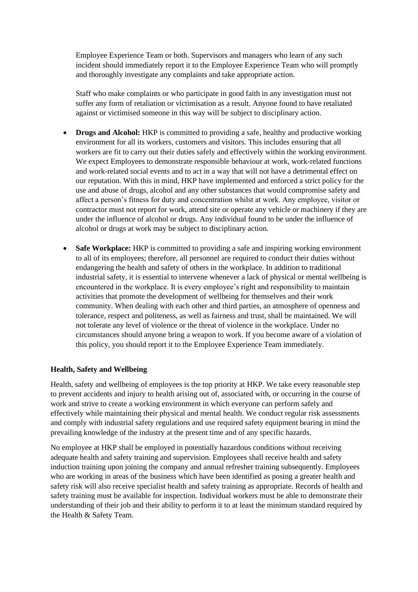Employee Experience Team or both. Supervisors and managers who learn of any such incident should immediately report it to the Employee Experience Team who will promptly and thoroughly investigate any complaints and take appropriate action.

Staff who make complaints or who participate in good faith in any investigation must not suffer any form of retaliation or victimisation as a result. Anyone found to have retaliated against or victimised someone in this way will be subject to disciplinary action.

- **Drugs and Alcohol:** HKP is committed to providing a safe, healthy and productive working environment for all its workers, customers and visitors. This includes ensuring that all workers are fit to carry out their duties safely and effectively within the working environment. We expect Employees to demonstrate responsible behaviour at work, work-related functions and work-related social events and to act in a way that will not have a detrimental effect on our reputation. With this in mind, HKP have implemented and enforced a strict policy for the use and abuse of drugs, alcohol and any other substances that would compromise safety and affect a person's fitness for duty and concentration whilst at work. Any employee, visitor or contractor must not report for work, attend site or operate any vehicle or machinery if they are under the influence of alcohol or drugs. Any individual found to be under the influence of alcohol or drugs at work may be subject to disciplinary action.
- **Safe Workplace:** HKP is committed to providing a safe and inspiring working environment to all of its employees; therefore, all personnel are required to conduct their duties without endangering the health and safety of others in the workplace. In addition to traditional industrial safety, it is essential to intervene whenever a lack of physical or mental wellbeing is encountered in the workplace. It is every employee's right and responsibility to maintain activities that promote the development of wellbeing for themselves and their work community. When dealing with each other and third parties, an atmosphere of openness and tolerance, respect and politeness, as well as fairness and trust, shall be maintained. We will not tolerate any level of violence or the threat of violence in the workplace. Under no circumstances should anyone bring a weapon to work. If you become aware of a violation of this policy, you should report it to the Employee Experience Team immediately.

#### **Health, Safety and Wellbeing**

Health, safety and wellbeing of employees is the top priority at HKP. We take every reasonable step to prevent accidents and injury to health arising out of, associated with, or occurring in the course of work and strive to create a working environment in which everyone can perform safely and effectively while maintaining their physical and mental health. We conduct regular risk assessments and comply with industrial safety regulations and use required safety equipment bearing in mind the prevailing knowledge of the industry at the present time and of any specific hazards.

No employee at HKP shall be employed in potentially hazardous conditions without receiving adequate health and safety training and supervision. Employees shall receive health and safety induction training upon joining the company and annual refresher training subsequently. Employees who are working in areas of the business which have been identified as posing a greater health and safety risk will also receive specialist health and safety training as appropriate. Records of health and safety training must be available for inspection. Individual workers must be able to demonstrate their understanding of their job and their ability to perform it to at least the minimum standard required by the Health & Safety Team.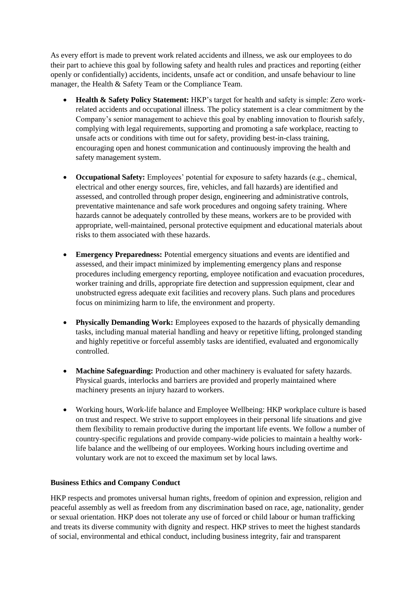As every effort is made to prevent work related accidents and illness, we ask our employees to do their part to achieve this goal by following safety and health rules and practices and reporting (either openly or confidentially) accidents, incidents, unsafe act or condition, and unsafe behaviour to line manager, the Health & Safety Team or the Compliance Team.

- **Health & Safety Policy Statement:** HKP's target for health and safety is simple: Zero workrelated accidents and occupational illness. The policy statement is a clear commitment by the Company's senior management to achieve this goal by enabling innovation to flourish safely, complying with legal requirements, supporting and promoting a safe workplace, reacting to unsafe acts or conditions with time out for safety, providing best-in-class training, encouraging open and honest communication and continuously improving the health and safety management system.
- **Occupational Safety:** Employees' potential for exposure to safety hazards (e.g., chemical, electrical and other energy sources, fire, vehicles, and fall hazards) are identified and assessed, and controlled through proper design, engineering and administrative controls, preventative maintenance and safe work procedures and ongoing safety training. Where hazards cannot be adequately controlled by these means, workers are to be provided with appropriate, well-maintained, personal protective equipment and educational materials about risks to them associated with these hazards.
- **Emergency Preparedness:** Potential emergency situations and events are identified and assessed, and their impact minimized by implementing emergency plans and response procedures including emergency reporting, employee notification and evacuation procedures, worker training and drills, appropriate fire detection and suppression equipment, clear and unobstructed egress adequate exit facilities and recovery plans. Such plans and procedures focus on minimizing harm to life, the environment and property.
- **Physically Demanding Work:** Employees exposed to the hazards of physically demanding tasks, including manual material handling and heavy or repetitive lifting, prolonged standing and highly repetitive or forceful assembly tasks are identified, evaluated and ergonomically controlled.
- **Machine Safeguarding:** Production and other machinery is evaluated for safety hazards. Physical guards, interlocks and barriers are provided and properly maintained where machinery presents an injury hazard to workers.
- Working hours, Work-life balance and Employee Wellbeing: HKP workplace culture is based on trust and respect. We strive to support employees in their personal life situations and give them flexibility to remain productive during the important life events. We follow a number of country-specific regulations and provide company-wide policies to maintain a healthy worklife balance and the wellbeing of our employees. Working hours including overtime and voluntary work are not to exceed the maximum set by local laws.

# **Business Ethics and Company Conduct**

HKP respects and promotes universal human rights, freedom of opinion and expression, religion and peaceful assembly as well as freedom from any discrimination based on race, age, nationality, gender or sexual orientation. HKP does not tolerate any use of forced or child labour or human trafficking and treats its diverse community with dignity and respect. HKP strives to meet the highest standards of social, environmental and ethical conduct, including business integrity, fair and transparent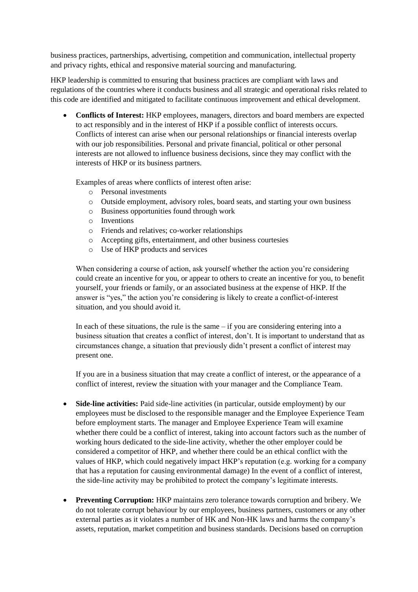business practices, partnerships, advertising, competition and communication, intellectual property and privacy rights, ethical and responsive material sourcing and manufacturing.

HKP leadership is committed to ensuring that business practices are compliant with laws and regulations of the countries where it conducts business and all strategic and operational risks related to this code are identified and mitigated to facilitate continuous improvement and ethical development.

• **Conflicts of Interest:** HKP employees, managers, directors and board members are expected to act responsibly and in the interest of HKP if a possible conflict of interests occurs. Conflicts of interest can arise when our personal relationships or financial interests overlap with our job responsibilities. Personal and private financial, political or other personal interests are not allowed to influence business decisions, since they may conflict with the interests of HKP or its business partners.

Examples of areas where conflicts of interest often arise:

- o Personal investments
- o Outside employment, advisory roles, board seats, and starting your own business
- o Business opportunities found through work
- o Inventions
- o Friends and relatives; co-worker relationships
- o Accepting gifts, entertainment, and other business courtesies
- o Use of HKP products and services

When considering a course of action, ask yourself whether the action you're considering could create an incentive for you, or appear to others to create an incentive for you, to benefit yourself, your friends or family, or an associated business at the expense of HKP. If the answer is "yes," the action you're considering is likely to create a conflict-of-interest situation, and you should avoid it.

In each of these situations, the rule is the same  $-$  if you are considering entering into a business situation that creates a conflict of interest, don't. It is important to understand that as circumstances change, a situation that previously didn't present a conflict of interest may present one.

If you are in a business situation that may create a conflict of interest, or the appearance of a conflict of interest, review the situation with your manager and the Compliance Team.

- Side-line activities: Paid side-line activities (in particular, outside employment) by our employees must be disclosed to the responsible manager and the Employee Experience Team before employment starts. The manager and Employee Experience Team will examine whether there could be a conflict of interest, taking into account factors such as the number of working hours dedicated to the side-line activity, whether the other employer could be considered a competitor of HKP, and whether there could be an ethical conflict with the values of HKP, which could negatively impact HKP's reputation (e.g. working for a company that has a reputation for causing environmental damage) In the event of a conflict of interest, the side-line activity may be prohibited to protect the company's legitimate interests.
- **Preventing Corruption:** HKP maintains zero tolerance towards corruption and bribery. We do not tolerate corrupt behaviour by our employees, business partners, customers or any other external parties as it violates a number of HK and Non-HK laws and harms the company's assets, reputation, market competition and business standards. Decisions based on corruption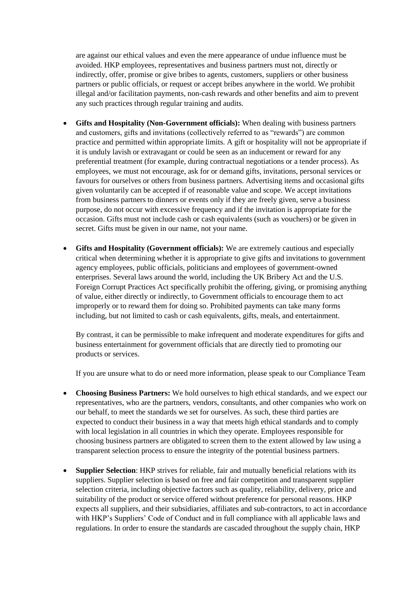are against our ethical values and even the mere appearance of undue influence must be avoided. HKP employees, representatives and business partners must not, directly or indirectly, offer, promise or give bribes to agents, customers, suppliers or other business partners or public officials, or request or accept bribes anywhere in the world. We prohibit illegal and/or facilitation payments, non-cash rewards and other benefits and aim to prevent any such practices through regular training and audits.

- **Gifts and Hospitality (Non-Government officials):** When dealing with business partners and customers, gifts and invitations (collectively referred to as "rewards") are common practice and permitted within appropriate limits. A gift or hospitality will not be appropriate if it is unduly lavish or extravagant or could be seen as an inducement or reward for any preferential treatment (for example, during contractual negotiations or a tender process). As employees, we must not encourage, ask for or demand gifts, invitations, personal services or favours for ourselves or others from business partners. Advertising items and occasional gifts given voluntarily can be accepted if of reasonable value and scope. We accept invitations from business partners to dinners or events only if they are freely given, serve a business purpose, do not occur with excessive frequency and if the invitation is appropriate for the occasion. Gifts must not include cash or cash equivalents (such as vouchers) or be given in secret. Gifts must be given in our name, not your name.
- **Gifts and Hospitality (Government officials):** We are extremely cautious and especially critical when determining whether it is appropriate to give gifts and invitations to government agency employees, public officials, politicians and employees of government-owned enterprises. Several laws around the world, including the UK Bribery Act and the U.S. Foreign Corrupt Practices Act specifically prohibit the offering, giving, or promising anything of value, either directly or indirectly, to Government officials to encourage them to act improperly or to reward them for doing so. Prohibited payments can take many forms including, but not limited to cash or cash equivalents, gifts, meals, and entertainment.

By contrast, it can be permissible to make infrequent and moderate expenditures for gifts and business entertainment for government officials that are directly tied to promoting our products or services.

If you are unsure what to do or need more information, please speak to our Compliance Team

- **Choosing Business Partners:** We hold ourselves to high ethical standards, and we expect our representatives, who are the partners, vendors, consultants, and other companies who work on our behalf, to meet the standards we set for ourselves. As such, these third parties are expected to conduct their business in a way that meets high ethical standards and to comply with local legislation in all countries in which they operate. Employees responsible for choosing business partners are obligated to screen them to the extent allowed by law using a transparent selection process to ensure the integrity of the potential business partners.
- **Supplier Selection**: HKP strives for reliable, fair and mutually beneficial relations with its suppliers. Supplier selection is based on free and fair competition and transparent supplier selection criteria, including objective factors such as quality, reliability, delivery, price and suitability of the product or service offered without preference for personal reasons. HKP expects all suppliers, and their subsidiaries, affiliates and sub-contractors, to act in accordance with HKP's Suppliers' Code of Conduct and in full compliance with all applicable laws and regulations. In order to ensure the standards are cascaded throughout the supply chain, HKP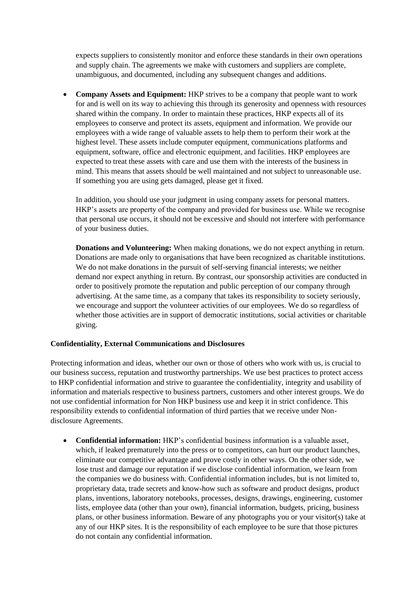expects suppliers to consistently monitor and enforce these standards in their own operations and supply chain. The agreements we make with customers and suppliers are complete, unambiguous, and documented, including any subsequent changes and additions.

• **Company Assets and Equipment:** HKP strives to be a company that people want to work for and is well on its way to achieving this through its generosity and openness with resources shared within the company. In order to maintain these practices, HKP expects all of its employees to conserve and protect its assets, equipment and information. We provide our employees with a wide range of valuable assets to help them to perform their work at the highest level. These assets include computer equipment, communications platforms and equipment, software, office and electronic equipment, and facilities. HKP employees are expected to treat these assets with care and use them with the interests of the business in mind. This means that assets should be well maintained and not subject to unreasonable use. If something you are using gets damaged, please get it fixed.

In addition, you should use your judgment in using company assets for personal matters. HKP's assets are property of the company and provided for business use. While we recognise that personal use occurs, it should not be excessive and should not interfere with performance of your business duties.

**Donations and Volunteering:** When making donations, we do not expect anything in return. Donations are made only to organisations that have been recognized as charitable institutions. We do not make donations in the pursuit of self-serving financial interests; we neither demand nor expect anything in return. By contrast, our sponsorship activities are conducted in order to positively promote the reputation and public perception of our company through advertising. At the same time, as a company that takes its responsibility to society seriously, we encourage and support the volunteer activities of our employees. We do so regardless of whether those activities are in support of democratic institutions, social activities or charitable giving.

#### **Confidentiality, External Communications and Disclosures**

Protecting information and ideas, whether our own or those of others who work with us, is crucial to our business success, reputation and trustworthy partnerships. We use best practices to protect access to HKP confidential information and strive to guarantee the confidentiality, integrity and usability of information and materials respective to business partners, customers and other interest groups. We do not use confidential information for Non HKP business use and keep it in strict confidence. This responsibility extends to confidential information of third parties that we receive under Nondisclosure Agreements.

• **Confidential information:** HKP's confidential business information is a valuable asset, which, if leaked prematurely into the press or to competitors, can hurt our product launches, eliminate our competitive advantage and prove costly in other ways. On the other side, we lose trust and damage our reputation if we disclose confidential information, we learn from the companies we do business with. Confidential information includes, but is not limited to, proprietary data, trade secrets and know-how such as software and product designs, product plans, inventions, laboratory notebooks, processes, designs, drawings, engineering, customer lists, employee data (other than your own), financial information, budgets, pricing, business plans, or other business information. Beware of any photographs you or your visitor(s) take at any of our HKP sites. It is the responsibility of each employee to be sure that those pictures do not contain any confidential information.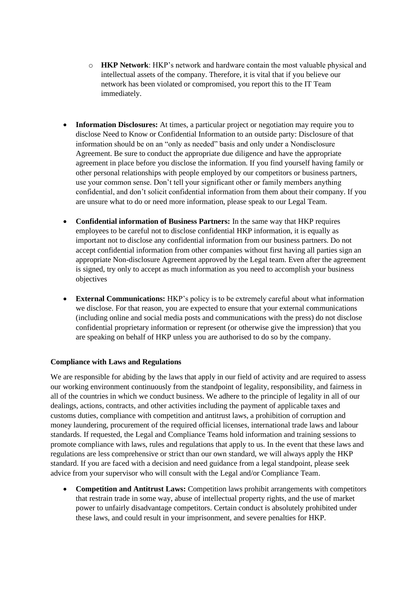- o **HKP Network**: HKP's network and hardware contain the most valuable physical and intellectual assets of the company. Therefore, it is vital that if you believe our network has been violated or compromised, you report this to the IT Team immediately.
- **Information Disclosures:** At times, a particular project or negotiation may require you to disclose Need to Know or Confidential Information to an outside party: Disclosure of that information should be on an "only as needed" basis and only under a Nondisclosure Agreement. Be sure to conduct the appropriate due diligence and have the appropriate agreement in place before you disclose the information. If you find yourself having family or other personal relationships with people employed by our competitors or business partners, use your common sense. Don't tell your significant other or family members anything confidential, and don't solicit confidential information from them about their company. If you are unsure what to do or need more information, please speak to our Legal Team.
- **Confidential information of Business Partners:** In the same way that HKP requires employees to be careful not to disclose confidential HKP information, it is equally as important not to disclose any confidential information from our business partners. Do not accept confidential information from other companies without first having all parties sign an appropriate Non-disclosure Agreement approved by the Legal team. Even after the agreement is signed, try only to accept as much information as you need to accomplish your business objectives
- **External Communications:** HKP's policy is to be extremely careful about what information we disclose. For that reason, you are expected to ensure that your external communications (including online and social media posts and communications with the press) do not disclose confidential proprietary information or represent (or otherwise give the impression) that you are speaking on behalf of HKP unless you are authorised to do so by the company.

## **Compliance with Laws and Regulations**

We are responsible for abiding by the laws that apply in our field of activity and are required to assess our working environment continuously from the standpoint of legality, responsibility, and fairness in all of the countries in which we conduct business. We adhere to the principle of legality in all of our dealings, actions, contracts, and other activities including the payment of applicable taxes and customs duties, compliance with competition and antitrust laws, a prohibition of corruption and money laundering, procurement of the required official licenses, international trade laws and labour standards. If requested, the Legal and Compliance Teams hold information and training sessions to promote compliance with laws, rules and regulations that apply to us. In the event that these laws and regulations are less comprehensive or strict than our own standard, we will always apply the HKP standard. If you are faced with a decision and need guidance from a legal standpoint, please seek advice from your supervisor who will consult with the Legal and/or Compliance Team.

• **Competition and Antitrust Laws:** Competition laws prohibit arrangements with competitors that restrain trade in some way, abuse of intellectual property rights, and the use of market power to unfairly disadvantage competitors. Certain conduct is absolutely prohibited under these laws, and could result in your imprisonment, and severe penalties for HKP.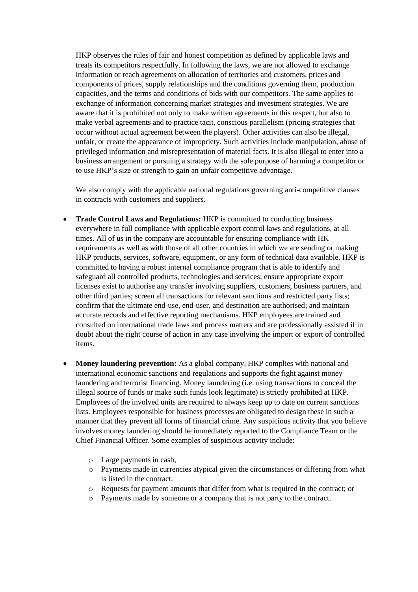HKP observes the rules of fair and honest competition as defined by applicable laws and treats its competitors respectfully. In following the laws, we are not allowed to exchange information or reach agreements on allocation of territories and customers, prices and components of prices, supply relationships and the conditions governing them, production capacities, and the terms and conditions of bids with our competitors. The same applies to exchange of information concerning market strategies and investment strategies. We are aware that it is prohibited not only to make written agreements in this respect, but also to make verbal agreements and to practice tacit, conscious parallelism (pricing strategies that occur without actual agreement between the players). Other activities can also be illegal, unfair, or create the appearance of impropriety. Such activities include manipulation, abuse of privileged information and misrepresentation of material facts. It is also illegal to enter into a business arrangement or pursuing a strategy with the sole purpose of harming a competitor or to use HKP's size or strength to gain an unfair competitive advantage.

We also comply with the applicable national regulations governing anti-competitive clauses in contracts with customers and suppliers.

- **Trade Control Laws and Regulations:** HKP is committed to conducting business everywhere in full compliance with applicable export control laws and regulations, at all times. All of us in the company are accountable for ensuring compliance with HK requirements as well as with those of all other countries in which we are sending or making HKP products, services, software, equipment, or any form of technical data available. HKP is committed to having a robust internal compliance program that is able to identify and safeguard all controlled products, technologies and services; ensure appropriate export licenses exist to authorise any transfer involving suppliers, customers, business partners, and other third parties; screen all transactions for relevant sanctions and restricted party lists; confirm that the ultimate end-use, end-user, and destination are authorised; and maintain accurate records and effective reporting mechanisms. HKP employees are trained and consulted on international trade laws and process matters and are professionally assisted if in doubt about the right course of action in any case involving the import or export of controlled items.
- **Money laundering prevention:** As a global company, HKP complies with national and international economic sanctions and regulations and supports the fight against money laundering and terrorist financing. Money laundering (i.e. using transactions to conceal the illegal source of funds or make such funds look legitimate) is strictly prohibited at HKP. Employees of the involved units are required to always keep up to date on current sanctions lists. Employees responsible for business processes are obligated to design these in such a manner that they prevent all forms of financial crime. Any suspicious activity that you believe involves money laundering should be immediately reported to the Compliance Team or the Chief Financial Officer. Some examples of suspicious activity include:
	- o Large payments in cash,
	- o Payments made in currencies atypical given the circumstances or differing from what is listed in the contract.
	- o Requests for payment amounts that differ from what is required in the contract; or
	- o Payments made by someone or a company that is not party to the contract.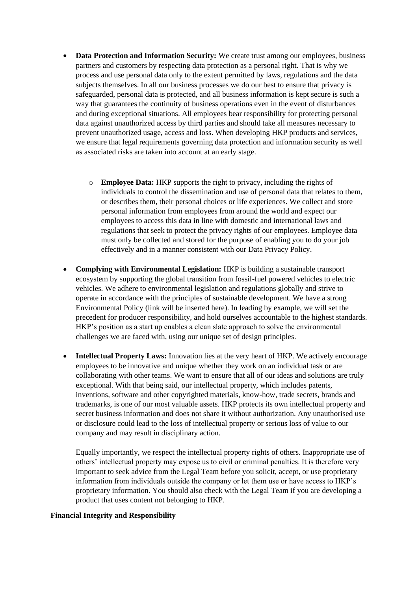- **Data Protection and Information Security:** We create trust among our employees, business partners and customers by respecting data protection as a personal right. That is why we process and use personal data only to the extent permitted by laws, regulations and the data subjects themselves. In all our business processes we do our best to ensure that privacy is safeguarded, personal data is protected, and all business information is kept secure is such a way that guarantees the continuity of business operations even in the event of disturbances and during exceptional situations. All employees bear responsibility for protecting personal data against unauthorized access by third parties and should take all measures necessary to prevent unauthorized usage, access and loss. When developing HKP products and services, we ensure that legal requirements governing data protection and information security as well as associated risks are taken into account at an early stage.
	- o **Employee Data:** HKP supports the right to privacy, including the rights of individuals to control the dissemination and use of personal data that relates to them, or describes them, their personal choices or life experiences. We collect and store personal information from employees from around the world and expect our employees to access this data in line with domestic and international laws and regulations that seek to protect the privacy rights of our employees. Employee data must only be collected and stored for the purpose of enabling you to do your job effectively and in a manner consistent with our Data Privacy Policy.
- **Complying with Environmental Legislation:** HKP is building a sustainable transport ecosystem by supporting the global transition from fossil-fuel powered vehicles to electric vehicles. We adhere to environmental legislation and regulations globally and strive to operate in accordance with the principles of sustainable development. We have a strong Environmental Policy (link will be inserted here). In leading by example, we will set the precedent for producer responsibility, and hold ourselves accountable to the highest standards. HKP's position as a start up enables a clean slate approach to solve the environmental challenges we are faced with, using our unique set of design principles.
- **Intellectual Property Laws:** Innovation lies at the very heart of HKP. We actively encourage employees to be innovative and unique whether they work on an individual task or are collaborating with other teams. We want to ensure that all of our ideas and solutions are truly exceptional. With that being said, our intellectual property, which includes patents, inventions, software and other copyrighted materials, know-how, trade secrets, brands and trademarks, is one of our most valuable assets. HKP protects its own intellectual property and secret business information and does not share it without authorization. Any unauthorised use or disclosure could lead to the loss of intellectual property or serious loss of value to our company and may result in disciplinary action.

Equally importantly, we respect the intellectual property rights of others. Inappropriate use of others' intellectual property may expose us to civil or criminal penalties. It is therefore very important to seek advice from the Legal Team before you solicit, accept, or use proprietary information from individuals outside the company or let them use or have access to HKP's proprietary information. You should also check with the Legal Team if you are developing a product that uses content not belonging to HKP.

#### **Financial Integrity and Responsibility**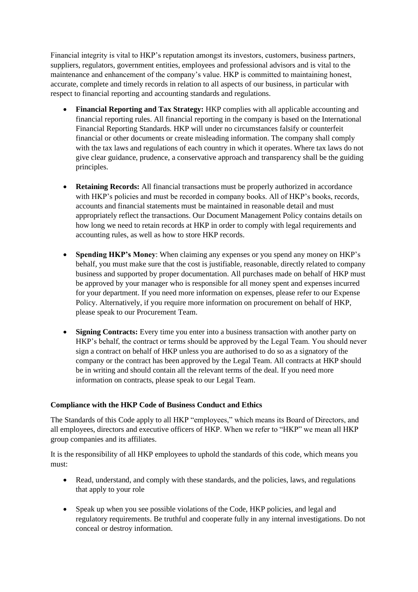Financial integrity is vital to HKP's reputation amongst its investors, customers, business partners, suppliers, regulators, government entities, employees and professional advisors and is vital to the maintenance and enhancement of the company's value. HKP is committed to maintaining honest, accurate, complete and timely records in relation to all aspects of our business, in particular with respect to financial reporting and accounting standards and regulations.

- **Financial Reporting and Tax Strategy:** HKP complies with all applicable accounting and financial reporting rules. All financial reporting in the company is based on the International Financial Reporting Standards. HKP will under no circumstances falsify or counterfeit financial or other documents or create misleading information. The company shall comply with the tax laws and regulations of each country in which it operates. Where tax laws do not give clear guidance, prudence, a conservative approach and transparency shall be the guiding principles.
- **Retaining Records:** All financial transactions must be properly authorized in accordance with HKP's policies and must be recorded in company books. All of HKP's books, records, accounts and financial statements must be maintained in reasonable detail and must appropriately reflect the transactions. Our Document Management Policy contains details on how long we need to retain records at HKP in order to comply with legal requirements and accounting rules, as well as how to store HKP records.
- **Spending HKP's Money**: When claiming any expenses or you spend any money on HKP's behalf, you must make sure that the cost is justifiable, reasonable, directly related to company business and supported by proper documentation. All purchases made on behalf of HKP must be approved by your manager who is responsible for all money spent and expenses incurred for your department. If you need more information on expenses, please refer to our Expense Policy. Alternatively, if you require more information on procurement on behalf of HKP, please speak to our Procurement Team.
- **Signing Contracts:** Every time you enter into a business transaction with another party on HKP's behalf, the contract or terms should be approved by the Legal Team. You should never sign a contract on behalf of HKP unless you are authorised to do so as a signatory of the company or the contract has been approved by the Legal Team. All contracts at HKP should be in writing and should contain all the relevant terms of the deal. If you need more information on contracts, please speak to our Legal Team.

# **Compliance with the HKP Code of Business Conduct and Ethics**

The Standards of this Code apply to all HKP "employees," which means its Board of Directors, and all employees, directors and executive officers of HKP. When we refer to "HKP" we mean all HKP group companies and its affiliates.

It is the responsibility of all HKP employees to uphold the standards of this code, which means you must:

- Read, understand, and comply with these standards, and the policies, laws, and regulations that apply to your role
- Speak up when you see possible violations of the Code, HKP policies, and legal and regulatory requirements. Be truthful and cooperate fully in any internal investigations. Do not conceal or destroy information.